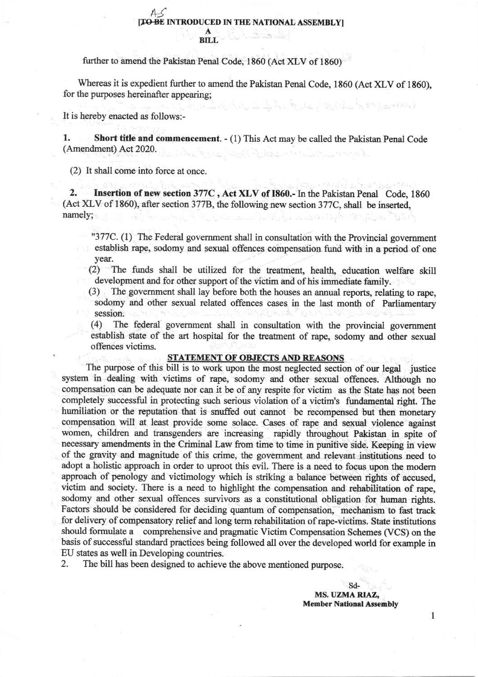## $45$ [T<del>O BE</del> INTRODUCED IN THE NATIONAL ASSEMBLY] A BILL

firther to amend the Pakistan Penal Code, 1860 (Act XLV of 1860)

Whereas it is expedient further to amend the Pakistan Penal Code, 1860 (Act XLV of 1860), for the purposes hereinafter appearing; بكوند تعزيرات بالتان (الأسد فيم ١٩٥) بعد ١٩٨٩م)

It is hereby enacted as follows:-

1. Short title and commencement. - (1) This Act may be called the Pakistan Penal Code (Amendment) Act 2020.

(2) It shall come into force at once.

2. Insertion of new section 377C , Act XLV of 1860.- In the Pakistan Penal Code, <sup>1860</sup> (Act XLV of 1860), after section 3778, the following new section 377C, shall be inserted namely;

"377C. (1) The Federal government shall in consultation with the Provincial government establish rape, sodomy and sexual offences compensation fund with in a period of one year.

(2) The funds shall be utilized for the treatment, health, education welfare skill development and for other support of the victim and of his immediate family.

(3) The government shall lay before both the houses an annual reports, relating to rape, sodomy and other sexual related offences cases in the last month of Parliamentary session.

(4) The federal govemment sha1l in consultation with the provincial govemment establish state of the art hospital for the treatnent of rape, sodomy and other sexual offences victims.

## STATEMENT OF OBJECTS AND REASONS

The purpose of this bill is to work upon the most neglected section of our legal justice system in dealing with victims of rape, sodomy and other sexual offences. Although no compensation can be adequate nor can it be of any respite for victim as the State has not been completely successful in protecting such serious violation of a victim's fundamental right. The humiliation or the reputation that is snuffed out cannot be recompensed but then monetary compensation will at least provide some solace. Cases of rape and sexual violence against women, children and transgenders are increasing rapidly throughout Pakistan in spite of necessary amendments in the Criminal Law from time to time in punitive side. Keeping in view of the gravity and magnitude of this crime, the govemment and relevant institutions need to adopt a holistic approach in order to uproot this evil. There is a need to focus upon the modem approach of penology and victimology which is striking a balance between rights of accused, victim and society. There is a need to highlight the compensation and rehabilitation of rape, sodomy and other sexual offences survivors as a constitutional obligation for human rights. Factors should be considered for deciding quantum of compensation, mechanism to fast track for delivery of compensatory relief and long term rehabilitation of rape-victims. State institutions should fomrulate a comprehensive and pragmatic Victim Compensation Schemes (VCS) on the basis of successful standard practices being followed all over the developed world for example in EU states as well in Developing countries.

2. The bill has been designed to achieve the above mentioned purpose.

sd-MS. UZMA RIAZ, Member National Assembly

I